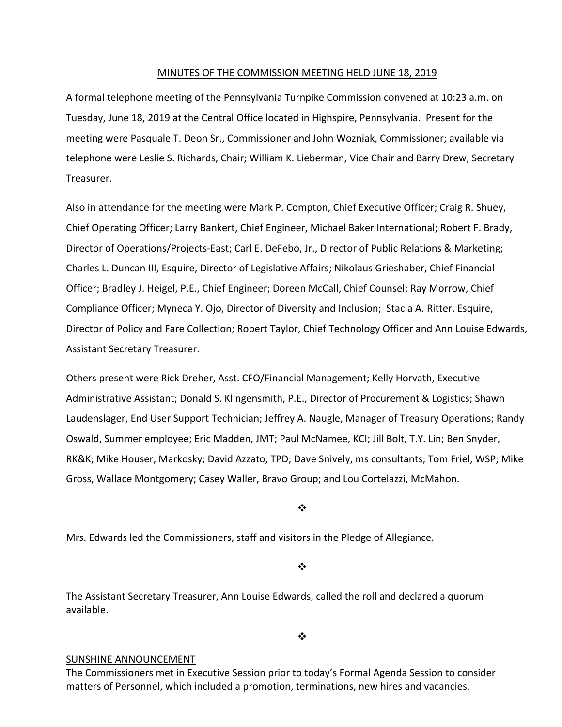## MINUTES OF THE COMMISSION MEETING HELD JUNE 18, 2019

A formal telephone meeting of the Pennsylvania Turnpike Commission convened at 10:23 a.m. on Tuesday, June 18, 2019 at the Central Office located in Highspire, Pennsylvania. Present for the meeting were Pasquale T. Deon Sr., Commissioner and John Wozniak, Commissioner; available via telephone were Leslie S. Richards, Chair; William K. Lieberman, Vice Chair and Barry Drew, Secretary Treasurer.

Also in attendance for the meeting were Mark P. Compton, Chief Executive Officer; Craig R. Shuey, Chief Operating Officer; Larry Bankert, Chief Engineer, Michael Baker International; Robert F. Brady, Director of Operations/Projects‐East; Carl E. DeFebo, Jr., Director of Public Relations & Marketing; Charles L. Duncan III, Esquire, Director of Legislative Affairs; Nikolaus Grieshaber, Chief Financial Officer; Bradley J. Heigel, P.E., Chief Engineer; Doreen McCall, Chief Counsel; Ray Morrow, Chief Compliance Officer; Myneca Y. Ojo, Director of Diversity and Inclusion; Stacia A. Ritter, Esquire, Director of Policy and Fare Collection; Robert Taylor, Chief Technology Officer and Ann Louise Edwards, Assistant Secretary Treasurer.

Others present were Rick Dreher, Asst. CFO/Financial Management; Kelly Horvath, Executive Administrative Assistant; Donald S. Klingensmith, P.E., Director of Procurement & Logistics; Shawn Laudenslager, End User Support Technician; Jeffrey A. Naugle, Manager of Treasury Operations; Randy Oswald, Summer employee; Eric Madden, JMT; Paul McNamee, KCI; Jill Bolt, T.Y. Lin; Ben Snyder, RK&K; Mike Houser, Markosky; David Azzato, TPD; Dave Snively, ms consultants; Tom Friel, WSP; Mike Gross, Wallace Montgomery; Casey Waller, Bravo Group; and Lou Cortelazzi, McMahon.

❖

Mrs. Edwards led the Commissioners, staff and visitors in the Pledge of Allegiance.

 $\cdot$ 

The Assistant Secretary Treasurer, Ann Louise Edwards, called the roll and declared a quorum available.

## $\bullet^{\bullet}_{\bullet} \bullet$

## SUNSHINE ANNOUNCEMENT

The Commissioners met in Executive Session prior to today's Formal Agenda Session to consider matters of Personnel, which included a promotion, terminations, new hires and vacancies.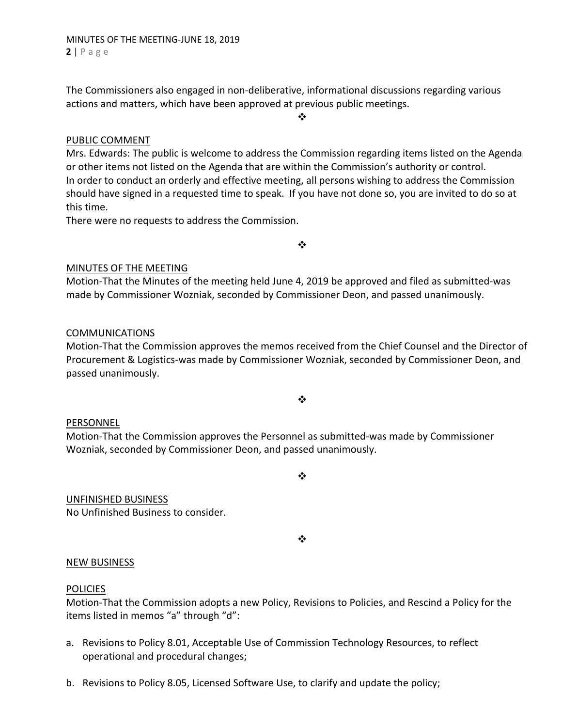The Commissioners also engaged in non‐deliberative, informational discussions regarding various actions and matters, which have been approved at previous public meetings.

 $\cdot$ 

## PUBLIC COMMENT

Mrs. Edwards: The public is welcome to address the Commission regarding items listed on the Agenda or other items not listed on the Agenda that are within the Commission's authority or control. In order to conduct an orderly and effective meeting, all persons wishing to address the Commission should have signed in a requested time to speak. If you have not done so, you are invited to do so at this time.

There were no requests to address the Commission.

 $\frac{1}{2}$ 

## MINUTES OF THE MEETING

Motion‐That the Minutes of the meeting held June 4, 2019 be approved and filed as submitted‐was made by Commissioner Wozniak, seconded by Commissioner Deon, and passed unanimously.

## COMMUNICATIONS

Motion‐That the Commission approves the memos received from the Chief Counsel and the Director of Procurement & Logistics‐was made by Commissioner Wozniak, seconded by Commissioner Deon, and passed unanimously.

# $\bullet^{\bullet}_{\bullet} \bullet$

## PERSONNEL

Motion‐That the Commission approves the Personnel as submitted‐was made by Commissioner Wozniak, seconded by Commissioner Deon, and passed unanimously.

## UNFINISHED BUSINESS

No Unfinished Business to consider.

 $\cdot$ 

 $\bullet^{\bullet}_{\mathbf{a}^{\bullet}}$ 

## NEW BUSINESS

## POLICIES

Motion‐That the Commission adopts a new Policy, Revisions to Policies, and Rescind a Policy for the items listed in memos "a" through "d":

- a. Revisions to Policy 8.01, Acceptable Use of Commission Technology Resources, to reflect operational and procedural changes;
- b. Revisions to Policy 8.05, Licensed Software Use, to clarify and update the policy;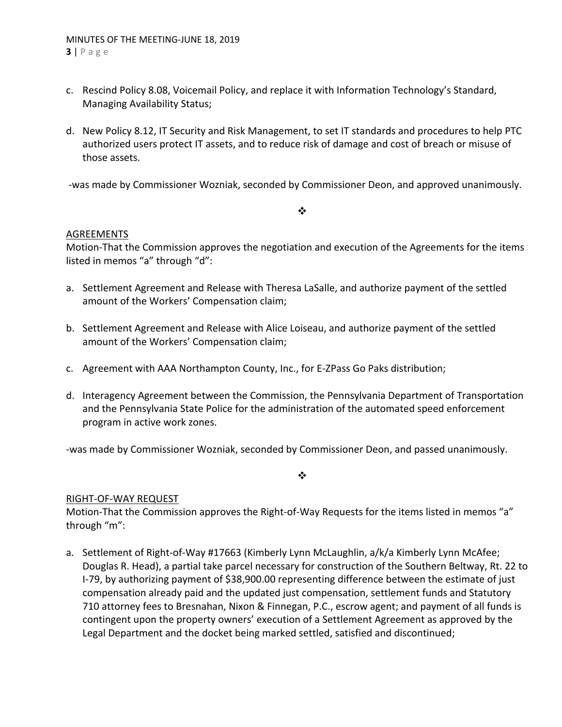- c. Rescind Policy 8.08, Voicemail Policy, and replace it with Information Technology's Standard, Managing Availability Status;
- d. New Policy 8.12, IT Security and Risk Management, to set IT standards and procedures to help PTC authorized users protect IT assets, and to reduce risk of damage and cost of breach or misuse of those assets.

‐was made by Commissioner Wozniak, seconded by Commissioner Deon, and approved unanimously.

## $\frac{1}{2}$

## AGREEMENTS

Motion‐That the Commission approves the negotiation and execution of the Agreements for the items listed in memos "a" through "d":

- a. Settlement Agreement and Release with Theresa LaSalle, and authorize payment of the settled amount of the Workers' Compensation claim;
- b. Settlement Agreement and Release with Alice Loiseau, and authorize payment of the settled amount of the Workers' Compensation claim;
- c. Agreement with AAA Northampton County, Inc., for E‐ZPass Go Paks distribution;
- d. Interagency Agreement between the Commission, the Pennsylvania Department of Transportation and the Pennsylvania State Police for the administration of the automated speed enforcement program in active work zones.

‐was made by Commissioner Wozniak, seconded by Commissioner Deon, and passed unanimously.

❖

## RIGHT‐OF‐WAY REQUEST

Motion-That the Commission approves the Right-of-Way Requests for the items listed in memos "a" through "m":

a. Settlement of Right-of-Way #17663 (Kimberly Lynn McLaughlin, a/k/a Kimberly Lynn McAfee; Douglas R. Head), a partial take parcel necessary for construction of the Southern Beltway, Rt. 22 to I‐79, by authorizing payment of \$38,900.00 representing difference between the estimate of just compensation already paid and the updated just compensation, settlement funds and Statutory 710 attorney fees to Bresnahan, Nixon & Finnegan, P.C., escrow agent; and payment of all funds is contingent upon the property owners' execution of a Settlement Agreement as approved by the Legal Department and the docket being marked settled, satisfied and discontinued;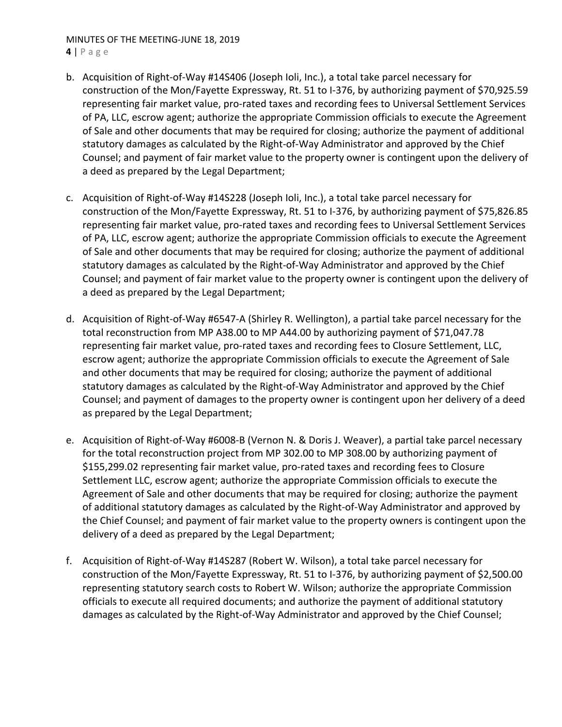## MINUTES OF THE MEETING‐JUNE 18, 2019

**4** | Page

- b. Acquisition of Right‐of‐Way #14S406 (Joseph Ioli, Inc.), a total take parcel necessary for construction of the Mon/Fayette Expressway, Rt. 51 to I‐376, by authorizing payment of \$70,925.59 representing fair market value, pro‐rated taxes and recording fees to Universal Settlement Services of PA, LLC, escrow agent; authorize the appropriate Commission officials to execute the Agreement of Sale and other documents that may be required for closing; authorize the payment of additional statutory damages as calculated by the Right‐of‐Way Administrator and approved by the Chief Counsel; and payment of fair market value to the property owner is contingent upon the delivery of a deed as prepared by the Legal Department;
- c. Acquisition of Right‐of‐Way #14S228 (Joseph Ioli, Inc.), a total take parcel necessary for construction of the Mon/Fayette Expressway, Rt. 51 to I‐376, by authorizing payment of \$75,826.85 representing fair market value, pro‐rated taxes and recording fees to Universal Settlement Services of PA, LLC, escrow agent; authorize the appropriate Commission officials to execute the Agreement of Sale and other documents that may be required for closing; authorize the payment of additional statutory damages as calculated by the Right‐of‐Way Administrator and approved by the Chief Counsel; and payment of fair market value to the property owner is contingent upon the delivery of a deed as prepared by the Legal Department;
- d. Acquisition of Right‐of‐Way #6547‐A (Shirley R. Wellington), a partial take parcel necessary for the total reconstruction from MP A38.00 to MP A44.00 by authorizing payment of \$71,047.78 representing fair market value, pro-rated taxes and recording fees to Closure Settlement, LLC, escrow agent; authorize the appropriate Commission officials to execute the Agreement of Sale and other documents that may be required for closing; authorize the payment of additional statutory damages as calculated by the Right‐of‐Way Administrator and approved by the Chief Counsel; and payment of damages to the property owner is contingent upon her delivery of a deed as prepared by the Legal Department;
- e. Acquisition of Right‐of‐Way #6008‐B (Vernon N. & Doris J. Weaver), a partial take parcel necessary for the total reconstruction project from MP 302.00 to MP 308.00 by authorizing payment of \$155,299.02 representing fair market value, pro‐rated taxes and recording fees to Closure Settlement LLC, escrow agent; authorize the appropriate Commission officials to execute the Agreement of Sale and other documents that may be required for closing; authorize the payment of additional statutory damages as calculated by the Right‐of‐Way Administrator and approved by the Chief Counsel; and payment of fair market value to the property owners is contingent upon the delivery of a deed as prepared by the Legal Department;
- f. Acquisition of Right‐of‐Way #14S287 (Robert W. Wilson), a total take parcel necessary for construction of the Mon/Fayette Expressway, Rt. 51 to I‐376, by authorizing payment of \$2,500.00 representing statutory search costs to Robert W. Wilson; authorize the appropriate Commission officials to execute all required documents; and authorize the payment of additional statutory damages as calculated by the Right‐of‐Way Administrator and approved by the Chief Counsel;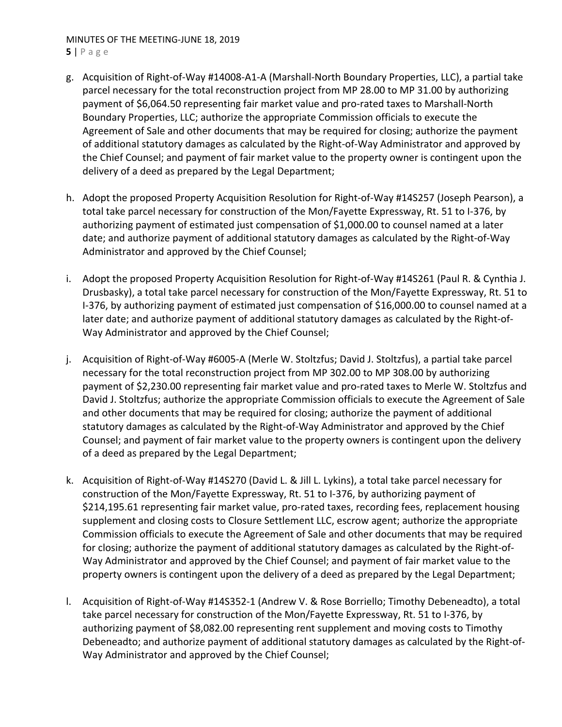## MINUTES OF THE MEETING‐JUNE 18, 2019

**5** | Page

- g. Acquisition of Right‐of‐Way #14008‐A1‐A (Marshall‐North Boundary Properties, LLC), a partial take parcel necessary for the total reconstruction project from MP 28.00 to MP 31.00 by authorizing payment of \$6,064.50 representing fair market value and pro‐rated taxes to Marshall‐North Boundary Properties, LLC; authorize the appropriate Commission officials to execute the Agreement of Sale and other documents that may be required for closing; authorize the payment of additional statutory damages as calculated by the Right‐of‐Way Administrator and approved by the Chief Counsel; and payment of fair market value to the property owner is contingent upon the delivery of a deed as prepared by the Legal Department;
- h. Adopt the proposed Property Acquisition Resolution for Right-of-Way #14S257 (Joseph Pearson), a total take parcel necessary for construction of the Mon/Fayette Expressway, Rt. 51 to I‐376, by authorizing payment of estimated just compensation of \$1,000.00 to counsel named at a later date; and authorize payment of additional statutory damages as calculated by the Right‐of‐Way Administrator and approved by the Chief Counsel;
- i. Adopt the proposed Property Acquisition Resolution for Right‐of‐Way #14S261 (Paul R. & Cynthia J. Drusbasky), a total take parcel necessary for construction of the Mon/Fayette Expressway, Rt. 51 to I‐376, by authorizing payment of estimated just compensation of \$16,000.00 to counsel named at a later date; and authorize payment of additional statutory damages as calculated by the Right‐of‐ Way Administrator and approved by the Chief Counsel;
- j. Acquisition of Right‐of‐Way #6005‐A (Merle W. Stoltzfus; David J. Stoltzfus), a partial take parcel necessary for the total reconstruction project from MP 302.00 to MP 308.00 by authorizing payment of \$2,230.00 representing fair market value and pro-rated taxes to Merle W. Stoltzfus and David J. Stoltzfus; authorize the appropriate Commission officials to execute the Agreement of Sale and other documents that may be required for closing; authorize the payment of additional statutory damages as calculated by the Right‐of‐Way Administrator and approved by the Chief Counsel; and payment of fair market value to the property owners is contingent upon the delivery of a deed as prepared by the Legal Department;
- k. Acquisition of Right‐of‐Way #14S270 (David L. & Jill L. Lykins), a total take parcel necessary for construction of the Mon/Fayette Expressway, Rt. 51 to I‐376, by authorizing payment of \$214,195.61 representing fair market value, pro‐rated taxes, recording fees, replacement housing supplement and closing costs to Closure Settlement LLC, escrow agent; authorize the appropriate Commission officials to execute the Agreement of Sale and other documents that may be required for closing; authorize the payment of additional statutory damages as calculated by the Right‐of‐ Way Administrator and approved by the Chief Counsel; and payment of fair market value to the property owners is contingent upon the delivery of a deed as prepared by the Legal Department;
- l. Acquisition of Right‐of‐Way #14S352‐1 (Andrew V. & Rose Borriello; Timothy Debeneadto), a total take parcel necessary for construction of the Mon/Fayette Expressway, Rt. 51 to I‐376, by authorizing payment of \$8,082.00 representing rent supplement and moving costs to Timothy Debeneadto; and authorize payment of additional statutory damages as calculated by the Right‐of‐ Way Administrator and approved by the Chief Counsel;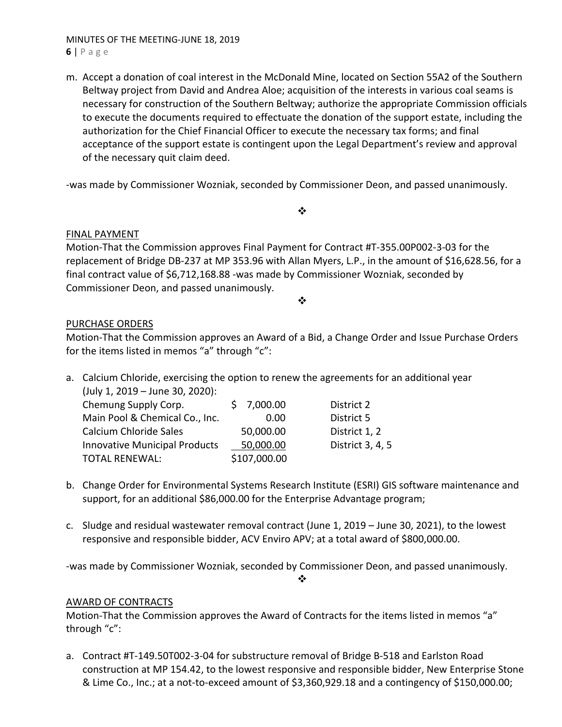## MINUTES OF THE MEETING‐JUNE 18, 2019 **6** | Page

m. Accept a donation of coal interest in the McDonald Mine, located on Section 55A2 of the Southern Beltway project from David and Andrea Aloe; acquisition of the interests in various coal seams is necessary for construction of the Southern Beltway; authorize the appropriate Commission officials to execute the documents required to effectuate the donation of the support estate, including the authorization for the Chief Financial Officer to execute the necessary tax forms; and final acceptance of the support estate is contingent upon the Legal Department's review and approval of the necessary quit claim deed.

‐was made by Commissioner Wozniak, seconded by Commissioner Deon, and passed unanimously.

 $\bullet^{\bullet}_{\bullet} \bullet$ 

## FINAL PAYMENT

Motion‐That the Commission approves Final Payment for Contract #T‐355.00P002‐3‐03 for the replacement of Bridge DB‐237 at MP 353.96 with Allan Myers, L.P., in the amount of \$16,628.56, for a final contract value of \$6,712,168.88 -was made by Commissioner Wozniak, seconded by Commissioner Deon, and passed unanimously.

 $\cdot$ 

## PURCHASE ORDERS

Motion‐That the Commission approves an Award of a Bid, a Change Order and Issue Purchase Orders for the items listed in memos "a" through "c":

a. Calcium Chloride, exercising the option to renew the agreements for an additional year (July 1, 2019 – June 30, 2020):

| Chemung Supply Corp.                 | \$7,000.00   | District 2       |
|--------------------------------------|--------------|------------------|
| Main Pool & Chemical Co., Inc.       | 0.00         | District 5       |
| Calcium Chloride Sales               | 50,000.00    | District 1, 2    |
| <b>Innovative Municipal Products</b> | 50,000.00    | District 3, 4, 5 |
| <b>TOTAL RENEWAL:</b>                | \$107,000.00 |                  |
|                                      |              |                  |

- b. Change Order for Environmental Systems Research Institute (ESRI) GIS software maintenance and support, for an additional \$86,000.00 for the Enterprise Advantage program;
- c. Sludge and residual wastewater removal contract (June 1, 2019 June 30, 2021), to the lowest responsive and responsible bidder, ACV Enviro APV; at a total award of \$800,000.00.

‐was made by Commissioner Wozniak, seconded by Commissioner Deon, and passed unanimously.

❖

## AWARD OF CONTRACTS

Motion-That the Commission approves the Award of Contracts for the items listed in memos "a" through "c":

a. Contract #T‐149.50T002‐3‐04 for substructure removal of Bridge B‐518 and Earlston Road construction at MP 154.42, to the lowest responsive and responsible bidder, New Enterprise Stone & Lime Co., Inc.; at a not‐to‐exceed amount of \$3,360,929.18 and a contingency of \$150,000.00;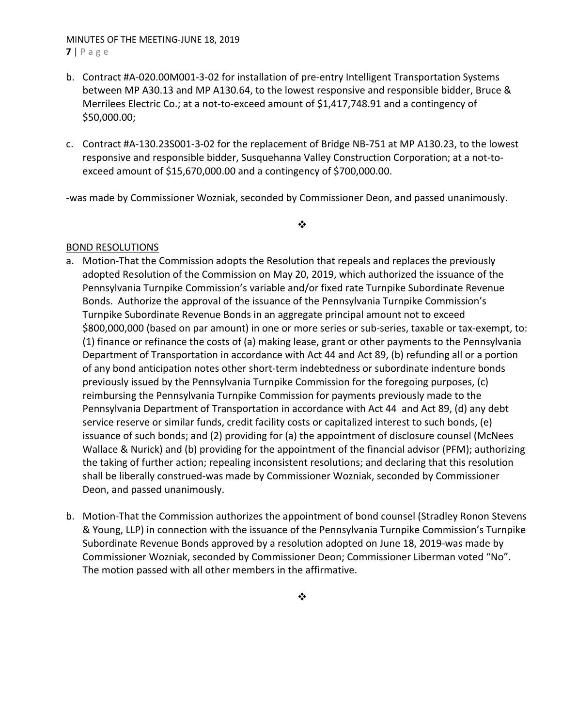## MINUTES OF THE MEETING‐JUNE 18, 2019 **7** | Page

- b. Contract #A‐020.00M001‐3‐02 for installation of pre‐entry Intelligent Transportation Systems between MP A30.13 and MP A130.64, to the lowest responsive and responsible bidder, Bruce & Merrilees Electric Co.; at a not-to-exceed amount of \$1,417,748.91 and a contingency of \$50,000.00;
- c. Contract #A‐130.23S001‐3‐02 for the replacement of Bridge NB‐751 at MP A130.23, to the lowest responsive and responsible bidder, Susquehanna Valley Construction Corporation; at a not‐to‐ exceed amount of \$15,670,000.00 and a contingency of \$700,000.00.

‐was made by Commissioner Wozniak, seconded by Commissioner Deon, and passed unanimously.

### $\cdot$

## BOND RESOLUTIONS

- a. Motion‐That the Commission adopts the Resolution that repeals and replaces the previously adopted Resolution of the Commission on May 20, 2019, which authorized the issuance of the Pennsylvania Turnpike Commission's variable and/or fixed rate Turnpike Subordinate Revenue Bonds. Authorize the approval of the issuance of the Pennsylvania Turnpike Commission's Turnpike Subordinate Revenue Bonds in an aggregate principal amount not to exceed \$800,000,000 (based on par amount) in one or more series or sub-series, taxable or tax-exempt, to: (1) finance or refinance the costs of (a) making lease, grant or other payments to the Pennsylvania Department of Transportation in accordance with Act 44 and Act 89, (b) refunding all or a portion of any bond anticipation notes other short-term indebtedness or subordinate indenture bonds previously issued by the Pennsylvania Turnpike Commission for the foregoing purposes, (c) reimbursing the Pennsylvania Turnpike Commission for payments previously made to the Pennsylvania Department of Transportation in accordance with Act 44 and Act 89, (d) any debt service reserve or similar funds, credit facility costs or capitalized interest to such bonds, (e) issuance of such bonds; and (2) providing for (a) the appointment of disclosure counsel (McNees Wallace & Nurick) and (b) providing for the appointment of the financial advisor (PFM); authorizing the taking of further action; repealing inconsistent resolutions; and declaring that this resolution shall be liberally construed‐was made by Commissioner Wozniak, seconded by Commissioner Deon, and passed unanimously.
- b. Motion-That the Commission authorizes the appointment of bond counsel (Stradley Ronon Stevens & Young, LLP) in connection with the issuance of the Pennsylvania Turnpike Commission's Turnpike Subordinate Revenue Bonds approved by a resolution adopted on June 18, 2019‐was made by Commissioner Wozniak, seconded by Commissioner Deon; Commissioner Liberman voted "No". The motion passed with all other members in the affirmative.